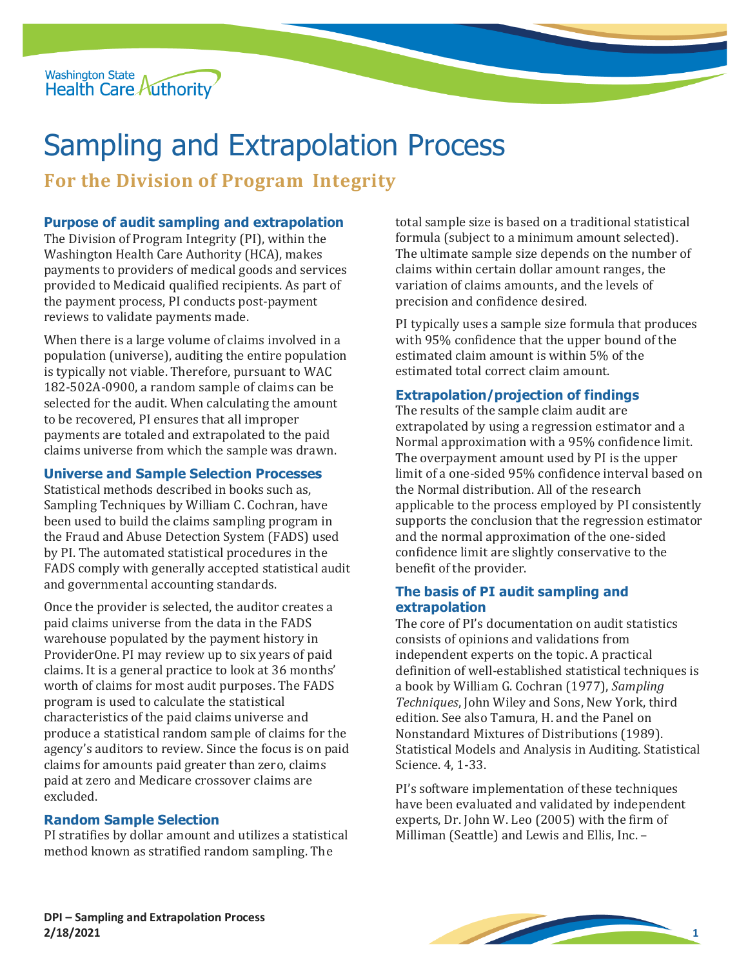

# Sampling and Extrapolation Process

**For the Division of Program Integrity** 

### **Purpose of audit sampling and extrapolation**

 provided to Medicaid qualified recipients. As part of The Division of Program Integrity (PI), within the Washington Health Care Authority (HCA), makes payments to providers of medical goods and services the payment process, PI conducts post-payment reviews to validate payments made.

When there is a large volume of claims involved in a population (universe), auditing the entire population is typically not viable. Therefore, pursuant to WAC 182-502A-0900, a random sample of claims can be selected for the audit. When calculating the amount to be recovered, PI ensures that all improper payments are totaled and extrapolated to the paid claims universe from which the sample was drawn.

#### **Universe and Sample Selection Processes**

Statistical methods described in books such as, Sampling Techniques by William C. Cochran, have been used to build the claims sampling program in the Fraud and Abuse Detection System (FADS) used by PI. The automated statistical procedures in the FADS comply with generally accepted statistical audit and governmental accounting standards.

Once the provider is selected, the auditor creates a paid claims universe from the data in the FADS warehouse populated by the payment history in ProviderOne. PI may review up to six years of paid claims. It is a general practice to look at 36 months' worth of claims for most audit purposes. The FADS program is used to calculate the statistical characteristics of the paid claims universe and produce a statistical random sample of claims for the agency's auditors to review. Since the focus is on paid claims for amounts paid greater than zero, claims paid at zero and Medicare crossover claims are excluded.

#### **Random Sample Selection**

PI stratifies by dollar amount and utilizes a statistical method known as stratified random sampling. The

total sample size is based on a traditional statistical formula (subject to a minimum amount selected). The ultimate sample size depends on the number of claims within certain dollar amount ranges, the variation of claims amounts, and the levels of precision and confidence desired.

PI typically uses a sample size formula that produces with 95% confidence that the upper bound of the estimated claim amount is within 5% of the estimated total correct claim amount.

#### **Extrapolation/projection of findings**

 the Normal distribution. All of the research The results of the sample claim audit are extrapolated by using a regression estimator and a Normal approximation with a 95% confidence limit. The overpayment amount used by PI is the upper limit of a one-sided 95% confidence interval based on applicable to the process employed by PI consistently supports the conclusion that the regression estimator and the normal approximation of the one-sided confidence limit are slightly conservative to the benefit of the provider.

#### **The basis of PI audit sampling and extrapolation**

 consists of opinions and validations from independent experts on the topic. A practical edition. See also Tamura, H. and the Panel on The core of PI's documentation on audit statistics definition of well-established statistical techniques is a book by William G. Cochran (1977), *Sampling Techniques*, John Wiley and Sons, New York, third Nonstandard Mixtures of Distributions (1989). Statistical Models and Analysis in Auditing. Statistical Science. 4, 1-33.

PI's software implementation of these techniques have been evaluated and validated by independent experts, Dr. John W. Leo (2005) with the firm of Milliman (Seattle) and Lewis and Ellis, Inc. –